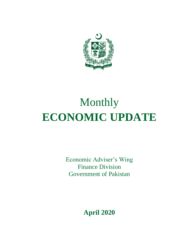

# Monthly **ECONOMIC UPDATE**

Economic Adviser's Wing Finance Division Government of Pakistan

**April 2020**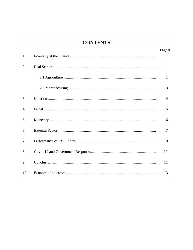## **CONTENTS**

|                  | Page #         |
|------------------|----------------|
| 1.               | 1              |
| 2.               | 1              |
|                  | 1              |
|                  | 3              |
| 3.               | $\overline{4}$ |
| $\overline{4}$ . | 5              |
| 5.               | 6              |
| 6.               | 7              |
| 7 <sub>1</sub>   | 9              |
| 8.               | 10             |
| 9.               | 11             |
| 10.              | 13             |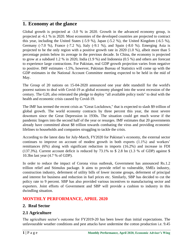## **1. Economy at the glance**

Global growth is projected at -3.0 % in 2020. Growth in the advanced economy group, is projected at -6.1 % in 2020. Most economies of the developed countries are projected to contract this year, including the United States (-5.9 %), Japan (-5.2 %), the United Kingdom (-6.5 %), Germany (-7.0 %), France (-7.2 %), Italy (-9.1 %), and Spain (-8.0 %). Emerging Asia is projected to be the only region with a positive growth rate in 2020 (1.0 %), albeit more than 5 percentage points below its average in the previous decade. In China, the economy is projected to grow at a subdued 1.2 % in 2020, India (1.9 %) and Indonesia (0.5 %) and others are forecast to experience large contractions. For Pakistan, real GDP growth projection varies from negative to positive. IMF estimates -1.5%, however, Pakistan Bureau of Statistics will come up with the GDP estimates in the National Account Committee meeting expected to be held in the mid of May.

The Group of 20 nations on 15-04-2020 announced one year debt standstill for the world's poorest nations to deal with Covid-19 as global economy plunged into the worst recession of the century. The G20, also reiterated the pledge to deploy "all available policy tools" to deal with the health and economic crisis caused by Covid-19.

The IMF has termed the recent crisis as "Great Lockdown," that is expected to slash \$9 trillion of global growth. The world economy contracts by three percent this year, the most severe downturn since the Great Depression in 1930s. The situation could get much worse if the pandemic lingers into the second half of the year or resurges. IMF estimates that 20 governments already have committed about \$8 trillion towards combating the virus and providing economic lifelines to households and companies struggling to tackle the crisis.

According to the latest data for July-March, FY2020 for Pakistan's economy, the external sector continues to improve on account of modest growth in both exports (1.1%) and workers' remittances (6%) along with significant reduction in imports (16.2%) and increase in FDI (137.3%). Current account deficit is reduced by 73.1% to \$ 2.8 bn (1.3 % of GDP) against \$ 10.3bn last year (4.7 % of GDP).

In order to reduce the impact of Corona virus outbreak, Government has announced Rs.1.2 trillion relief and Stimulus package. It aims to provide relief to vulnerable, SMEs industry, construction industry, deferment of utility bills of lower income groups, deferment of principal and interest for business and reduction in fuel prices etc. Similarly, SBP has decided to cut the policy rate to 9 percent. SBP has also provided various incentives to manufacturing sector and exporters. Joint efforts of Government and SBP will provide a cushion to industry in this dwindling situation.

### **MONTHLY PERFORMANCE, APRIL 2020**

### **2. Real Sector**

## **2.1 Agriculture**

The agriculture sector's outcome for FY2019-20 has been lower than initial expectations. The unfavourable weather conditions and pest attacks have undermine the cotton production i.e. 9.45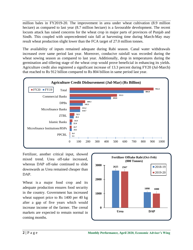million bales in FY2019-20. The improvement in area under wheat cultivation (8.9 million hectare) as compared to last year (8.7 million hectare) is a favourable development. The recent locusts attack has raised concerns for the wheat crop in major parts of provinces of Punjab and Sindh. This coupled with unprecedented rain fall at harvesting time during March-May may result wheat production slight lower than the FCA target of 27.0 million tonnes.

The availability of inputs remained adequate during Rabi season. Canal water withdrawals increased over same period last year. Moreover, conducive rainfall was recorded during the wheat sowing season as compared to last year. Additionally, drop in temperatures during the germination and tillering stage of the wheat crop would prove beneficial in enhancing its yields. Agriculture credit also registered a significant increase of 13.3 percent during FY20 (Jul-March) that reached to Rs 912 billion compared to Rs 804 billion in same period last year.



Fertilizer, another critical input, showed mixed trend. Urea off-take increased, whereas DAP off-take continued to slide downwards as Urea remained cheaper than DAP.

Wheat is a major food crop and its adequate production ensures food security in the country. Government has increased wheat support price to Rs 1400 per 40 kg after a gap of five years which would increase income of the farmer. The cereal markets are expected to remain normal in coming months.

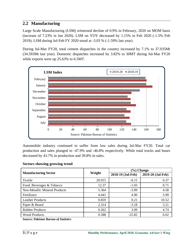#### **2.2 Manufacturing**

Large Scale Manufacturing (LSM) witnessed decline of 0.9% in February, 2020 on MOM basis (increase of 7.23% in Jan 2020). LSM on YOY decreased by 1.15% in Feb 2020 (-1.5% Feb 2019). LSM during Jul-Feb FY 2020 stood at -3.03 % (-1.59% last year).

During Jul-Mar FY20, total cement dispatches in the country increased by 7.1% to 37.035Mt (34.593Mt last year). Domestic dispatches increased by 3.82% to 30MT during Jul-Mar FY20 while exports were up 25.63% to 6.5MT.



Automobile industry continued to suffer from low sales during Jul-Mar FY20. Total car production and sales plunged to -47.9% and -46.8% respectively. While total trucks and buses decreased by 43.7% in production and 39.8% in sales.

#### **Sectors showing growing trend**

|                               |        | $(\%)$ Change     |                   |  |  |
|-------------------------------|--------|-------------------|-------------------|--|--|
| <b>Manufacturing Sector</b>   | Weight | 2018-19 (Jul-Feb) | 2019-20 (Jul-Feb) |  |  |
| Textile                       | 20.915 | $-0.15$           | 0.37              |  |  |
| Food, Beverages & Tobacco     | 12.37  | $-1.03$           | 0.71              |  |  |
| Non-Metallic Mineral Products | 5.364  | $-3.99$           | 4.58              |  |  |
| Fertilizers                   | 4.441  | 4.90              | 5.99              |  |  |
| <b>Leather Products</b>       | 0.859  | 0.21              | 10.52             |  |  |
| Paper & Board                 | 2.314  | $-3.18$           | 5.21              |  |  |
| <b>Rubber Products</b>        | 0.262  | 3.09              | 4.74              |  |  |
| <b>Wood Products</b>          | 0.588  | $-25.82$          | 6.02              |  |  |

*Source: Pakistan Bureau of Statistics*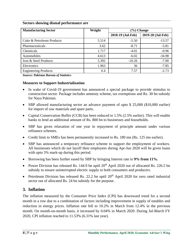#### **Sectors showing dismal performance are**

| <b>Manufacturing Sector</b> | Weight | (%) Change        |                   |
|-----------------------------|--------|-------------------|-------------------|
|                             |        | 2018-19 (Jul-Feb) | 2019-20 (Jul-Feb) |
| Coke & Petroleum Products   | 5.514  | $-5.50$           | $-13.57$          |
| Pharmaceuticals             | 3.62   | $-8.71$           | $-5.81$           |
| Chemicals                   | 1.717  | $-4.01$           | $-0.96$           |
| Automobiles                 | 4.613  | $-6.02$           | $-34.98$          |
| Iron & Steel Products       | 5.392  | $-10.26$          | $-7.00$           |
| Electronics                 | 1.963  | 36                | $-7.85$           |
| <b>Engineering Products</b> | 0.4    | 7.57              | $-2.73$           |

*Source: Pakistan Bureau of Statistics*

#### **Measures to Support Industrialization**

- In wake of Covid-19 government has announced a special package to provide stimulus to construction sector. Package includes amnesty scheme, tax exemptions and Rs. 30 bn subsidy for Naya Pakistan.
- SBP allowed manufacturing sector an advance payment of upto \$ 25,000 (\$10,000 earlier) for import of raw materials and spare parts.
- Capital Conservation Buffer (CCB) has been reduced to 1.5% (2.5% earlier). This will enable banks to lend an additional amount of Rs. 800 bn to businesses and households.
- SBP has given relaxation of one year in repayment of principle amount under various refinance schemes.
- Credit limit to SMEs has been permanently increased to Rs. 180 mn (Rs. 125 mn earlier).
- SBP has announced a temporary refinance scheme to support the employment of workers. All businesses which do not layoff their employees during Apr-Jun 2020 will be given loans with upto 5% mark-up during this period.
- Borrowing has been further eased by SBP by bringing Interest rate to **9% from 11%.**
- Power Division has released Rs. 144.9 bn uptil  $20^{th}$  April 2020 out of allocated Rs. 226.5 bn subsidy to ensure uninterrupted electric supply to both consumers and producers.
- Petroleum Division has released Rs. 22.2 bn uptil  $20<sup>th</sup>$  April 2020 for zero rated industrial sector out of allocated Rs. 24 bn subsidy for the purpose.

### **3. Inflation**

The inflation measured by the Consumer Price Index (CPI) has downward trend for a second month in a row due to a combination of factors including improvement in supply of eatables and reduction in energy prices. Inflation rate fell to 10.2% in March from 12.4% in the previous month. On month-on-month basis, it increased by 0.04% in March 2020. During Jul-March FY 2020, CPI inflation reached to 11.53% (6.31% last year).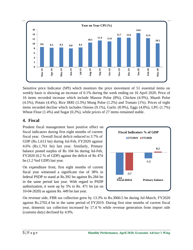

Sensitive price Indicator (SPI) which monitors the price movement of 51 essential items on weekly basis is showing an increase of 0.1% during the week ending on 16 April 2020. Price of 16 items recorded increase which include Masoor Pulse (8%), Chicken (4.9%), Maash Pulse (4.5%), Potato (4.4%), Rice IRRI (3.3%) Mung Pulse (1.2%) and Tomato (1%). Prices of eight items recorded decline which includes Onions (9.1%), Garlic (8.9%), Eggs (4.8%), LPG (1.7%) Wheat Flour (1.4%) and Sugar (0.2%), while prices of 27 items remained stable.

## **4. Fiscal**

Prudent fiscal management have positive effect on fiscal indicators during first eight months of current fiscal year. Overall fiscal deficit reduced to 3.7% of GDP (Rs.1,613 bn) during Jul-Feb, FY2020 against 4.6% (Rs.1,761 bn) last year. Similarly, Primary balance posted surplus of Rs 104 bn during Jul-Feb, FY2020 (0.2 % of GDP) against the deficit of Rs 474 bn (1.2 %of GDP) last year.

On expenditure front, first eight months of current fiscal year witnessed a significant rise of 38% in federal PSDP to stand at Rs.392 bn against Rs.284 bn in the same period last year. With regard to PSDP authorization, it went up by 5% to Rs. 471 bn (as on 10-04-2020) as against Rs. 449 bn last year.



On revenue side, FBR tax collection grew by 13.3% to Rs.3060.5 bn during Jul-March, FY2020 against Rs.2702.4 bn in the same period of FY2019. During first nine months of current fiscal year, domestic tax collection increased by 17.4 % while revenue generation from import side (customs duty) declined by 4.9%.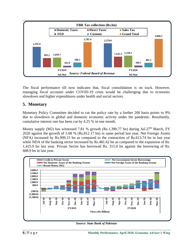

The fiscal performance till now indicates that, fiscal consolidation is on track. However, managing fiscal accounts under COVID-19 crisis would be challenging due to economic slowdown and higher expenditures under health and social sectors.

### **5. Monetary**

Monetary Policy Committee decided to cut the policy rate by a further 200 basis points to 9% due to slowdown in global and domestic economic activity under the pandemic. Resultantly, cumulative interest rate has been cut by 4.25 % in one month.

Money supply (M2) has witnessed 7.81 % growth (Rs.1,390.77 bn) during Jul-27<sup>th</sup> March, FY 2020 against the growth of 5.08 % (Rs.812.17 bn) in same period last year. Net Foreign Assets (NFA) increased by Rs.909.15 bn as compared to the contraction of Rs.613.74 bn in last year while NDA of the banking sector increased by Rs.481.62 bn as compared to the expansion of Rs. 1,425.9 bn last year. Private Sector has borrowed Rs. 315.0 bn against the borrowing of Rs. 608.9 bn in last year.



*Source: State Bank of Pakistan*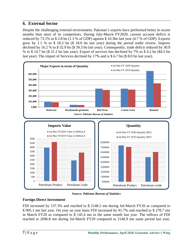### **6. External Sector**

Despite the challenging external environment, Pakistan's exports have performed better in recent months than most of its competitors. During July-March FY2020, current account deficit is reduced by 73.1% to  $$ 2.8$  bn (1.3 % of GDP) against  $$ 10.3$ bn last year (4.7 % of GDP). Exports grew by 1.1 % to \$ 18.3 bn (\$ 18.0 bn last year) during the period under review. Imports declined by 16.2 % to \$ 32.9 bn (\$ 39.3 bn last year). Consequently, trade deficit reduced by 30.9 % to \$ 14.7 bn (\$ 21.2 bn last year). Export of services has declined by 7% to \$ 4.2 bn (\$4.5 bn last year). The import of Services declined by 17% and is \$ 6.7 bn (\$ 8.0 bn last year).



*Source: Pakistan Bureau of Statistics*

#### **Foreign Direct Investment**

FDI increased by 137.3% and reached to \$ 2148.2 mn during Jul-March FY20 as compared to \$ 905.1 mn last year. On year on year basis FDI increased by 91.7% and reached to \$ 278.7 mn in March FY20 as compared to \$ 145.4 mn in the same month last year. The inflows of FDI reached to 2696.8 mn during Jul-March FY20 compared to 2146.9 mn same period last year,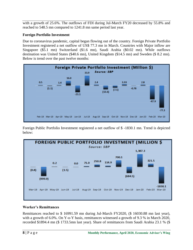with a growth of 25.6%. The outflows of FDI during Jul-March FY20 decreased by 55.8% and reached to 548.5 mn compared to 1241.8 mn same period last year.

#### **Foreign Portfolio Investment**

Due to coronavirus pandemic, capital began flowing out of the country. Foreign Private Portfolio Investment registered a net outflow of US\$ 77.3 mn in March. Countries with Major inflow are Singapore (\$5.1 mn) Switzerland (\$1.6 mn), Saudi Arabia (\$0.02 mn). While outflows destination was United States (\$40.6 mn), United Kingdom (\$14.5 mn) and Sweden (\$ 8.2 mn). Below is trend over the past twelve months:



Foreign Public Portfolio Investment registered a net outflow of \$ -1830.1 mn. Trend is depicted below:



#### **Worker's Remittances**

Remittances reached to \$ 16991.59 mn during Jul-March FY2020, (\$ 16030.88 mn last year), with a growth of 6.0%. On Y-o-Y basis, remittances witnessed a growth of 9.3 % in March 2020, recorded \$1894.4 mn (\$ 1733.5mn last year). Share of remittances from Saudi Arabia 23.1 % (\$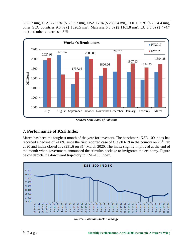3925.7 mn), U.A.E 20.9% (\$ 3552.2 mn), USA 17 % (\$ 2880.4 mn), U.K 15.0 % (\$ 2554.4 mn), other GCC countries 9.6 % (\$ 1626.5 mn), Malaysia 6.8 % (\$ 1161.8 mn), EU 2.8 % (\$ 474.7 mn) and other countries 4.8 %.



*Source: State Bank of Pakistan*

## **7. Performance of KSE Index**

March has been the toughest month of the year for investors. The benchmark KSE-100 index has recorded a decline of  $24.8\%$  since the first reported case of COVID-19 in the country on  $26<sup>th</sup>$  Feb 2020 and index closed at 29231.6 on 31<sup>st</sup> March 2020. The index slightly improved at the end of the month when government announced the stimulus package to invigorate the economy. Figure below depicts the downward trajectory in KSE-100 Index.



*Source: Pakistan Stock Exchange*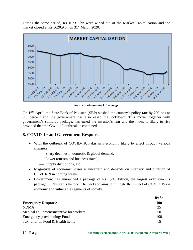During the same period, Rs 1673.1 bn were wiped out of the Market Capitalization and the market closed at Rs 5620.9 bn on 31<sup>st</sup> March 2020.



*Source: Pakistan Stock Exchange*

On 16<sup>th</sup> April, the State Bank of Pakistan (SBP) slashed the country's policy rate by 200 bps to 9.0 percent and the government has also eased the lockdown. This move, together with government's stimulus package, has eased the investor's fear and the index is likely to rise provided that the Covid-19 outbreak is contained.

### **8. COVID-19 and Government Response**

- $\triangleright$  With the outbreak of COVID-19, Pakistan's economy likely to effect through various channels
	- $\overline{\phantom{a}}$  Sharp declines in domestic & global demand,
	- Lower tourism and business travel.
	- Supply disruptions, etc.
- $\triangleright$  Magnitude of economic losses is uncertain and depends on intensity and duration of COVID-19 in coming weeks.
- $\triangleright$  Government has announced a package of Rs 1,240 billion, the largest ever stimulus package in Pakistan's history. The package aims to mitigate the impact of COVID 19 on economy and vulnerable segments of society.

|                                         | Rs bn |
|-----------------------------------------|-------|
| <b>Emergency Response</b>               | 190   |
| <b>NDMA</b>                             | 25    |
| Medical equipment/incentive for workers | 50    |
| Emergency provisioning/Funds            | 100   |
| Tax relief on Food & Health items       | 15    |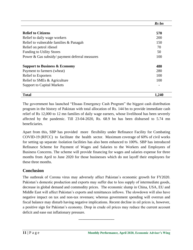|                                                | Rs bn |
|------------------------------------------------|-------|
|                                                |       |
| <b>Relief to Citizens</b>                      | 570   |
| Relief to daily wage workers                   | 200   |
| Relief to vulnerable families & Panagah        | 150   |
| Relief on petrol /diesel                       | 70    |
| <b>Funding to Utility Stores</b>               | 50    |
| Power & Gas subsidy/ payment deferral measures | 100   |
| <b>Support to Business &amp; Economy</b>       | 480   |
| Payment to farmers (wheat)                     | 280   |
| <b>Relief to Exporters</b>                     | 100   |
| Relief to SMEs & Agriculture                   | 100   |
| <b>Support to Capital Markets</b>              |       |
| <b>Total</b>                                   | 1,240 |

The government has launched "Ehsaas Emergency Cash Program" the biggest cash distribution program in the history of Pakistan with total allocation of Rs. 144 bn to provide immediate cash relief of Rs 12,000 to 12 mn families of daily wage earners, whose livelihood has been severely affected by the pandemic. Till 23-04-2020, Rs. 68.9 bn has been disbursed to 5.74 mn beneficiaries.

Apart from this, SBP has provided more flexibility under Refinance Facility for Combating COVID-19 (RFCC) to facilitate the health sector. Maximum coverage of 60% of civil works for setting up separate /isolation facilities has also been enhanced to 100%. SBP has introduced Refinance Scheme for Payment of Wages and Salaries to the Workers and Employees of Business Concerns. The scheme will provide financing for wages and salaries expense for three months from April to June 2020 for those businesses which do not layoff their employees for these three months.

## **Conclusion**

The outbreak of Corona virus may adversely affect Pakistan's economic growth for FY2020. Pakistan's domestic production and exports may suffer due to less supply of intermediate goods, decrease in global demand and commodity prices. The economic slump in China, USA, EU and Middle East will affect Pakistan's exports and remittances inflows. The slowdown will also have negative impact on tax and non-tax revenues; whereas government spending will overrun and fiscal balance may disturb having negative implications. Recent decline in oil prices is, however, a positive sign for Pakistan's economy. Drop in crude oil prices may reduce the current account deficit and ease out inflationary pressure.

\_\_\_\_\_\_\_\_\_\_\_\_\_\_\_\_\_\_\_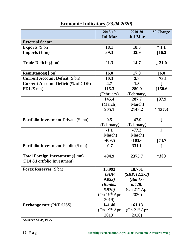|                                                                         | 2018-19                   | 2019-20                   | % Change          |  |  |
|-------------------------------------------------------------------------|---------------------------|---------------------------|-------------------|--|--|
|                                                                         | <b>Jul-Mar</b>            | <b>Jul-Mar</b>            |                   |  |  |
| <b>External Sector</b>                                                  |                           |                           |                   |  |  |
| <b>Exports</b> $(\$ bn)$                                                | 18.1                      | 18.3                      | $\uparrow$ 1.1    |  |  |
| <b>Imports</b> $(\$ bn)$                                                | 39.3                      | 32.9                      | $\downarrow$ 16.2 |  |  |
| Trade Deficit (\$ bn)                                                   | 21.3                      | 14.7                      | $\downarrow$ 31.0 |  |  |
| <b>Remittances</b> (\$ bn)                                              | <b>16.0</b>               | 17.0                      | $\uparrow$ 6.0    |  |  |
| <b>Current Account Deficit (\$ bn)</b>                                  | 10.3                      | 2.8                       | 73.1              |  |  |
| <b>Current Account Deficit (% of GDP)</b>                               | 4.7                       | 1.3                       |                   |  |  |
| $FDI$ (\$ mn)                                                           | 115.3                     | 289.0                     | $\uparrow$ 150.6  |  |  |
|                                                                         | (February)                | (February)                |                   |  |  |
|                                                                         | 145.4                     | 287.7                     | ↑97.9             |  |  |
|                                                                         | (March)                   | (March)                   |                   |  |  |
|                                                                         | 905.1                     | 2148.2                    | $\uparrow$ 137.3  |  |  |
|                                                                         |                           |                           |                   |  |  |
| <b>Portfolio Investment-Private (\$ mn)</b>                             | 0.5                       | $-47.9$                   | ↓                 |  |  |
|                                                                         | (February)                | (February)                |                   |  |  |
|                                                                         | $-1.1$                    | $-77.3$                   | ↓                 |  |  |
|                                                                         | (March)                   | (March)                   |                   |  |  |
|                                                                         | $-409.5$                  | $-103.6$                  | $\uparrow$ 74.7   |  |  |
| <b>Portfolio Investment-Public (\$ mn)</b>                              | $-0.7$                    | 331.1                     |                   |  |  |
| <b>Total Foreign Investment (\$ mn)</b><br>(FDI & Portfolio Investment) | 494.9                     | 2375.7                    | $\uparrow$ 380    |  |  |
| <b>Forex Reserves</b> (\$ bn)                                           | 15.993                    | 18.701                    |                   |  |  |
|                                                                         | (SBP:                     | (SBP:12.273)              |                   |  |  |
|                                                                         | 9.023)                    | (Banks:                   |                   |  |  |
|                                                                         | (Banks:                   | 6.428)                    |                   |  |  |
|                                                                         | 6.970)                    | (On 21 <sup>st</sup> Apr) |                   |  |  |
|                                                                         | (On 19 <sup>th</sup> Apr) | 2020)                     |                   |  |  |
|                                                                         | 2019)                     |                           |                   |  |  |
| <b>Exchange rate (PKR/US\$)</b>                                         | 141.40                    | 161.13                    |                   |  |  |
|                                                                         | (On 19 <sup>th</sup> Apr) | (On 21 <sup>st</sup> Apr) |                   |  |  |
|                                                                         | 2019)                     | 2020)                     |                   |  |  |

# **Economic Indicators (***23.04.2020)*

**Source: SBP, PBS**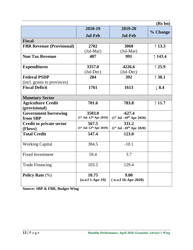|                                  |                                       |                              | (Rs bn)          |
|----------------------------------|---------------------------------------|------------------------------|------------------|
|                                  | 2018-19                               | 2019-20                      |                  |
|                                  | <b>Jul-Feb</b>                        | <b>Jul-Feb</b>               | % Change         |
| <b>Fiscal</b>                    |                                       |                              |                  |
| <b>FBR Revenue (Provisional)</b> | 2702                                  | 3060                         | $\uparrow$ 13.3  |
|                                  | $(Jul-Mar)$                           | $(Jul-Mar)$                  |                  |
| <b>Non Tax Revenue</b>           | 407                                   | 991                          | $\uparrow$ 143.4 |
| <b>Expenditures</b>              | 3357.0                                | 4226.6                       | $\uparrow$ 25.9  |
|                                  | $(Jul-Dec)$                           | $(Jul-Dec)$                  |                  |
| <b>Federal PSDP</b>              | 284                                   | 392                          | $\uparrow$ 38.1  |
| (incl. grants to provinces)      |                                       |                              |                  |
| <b>Fiscal Deficit</b>            | 1761                                  | 1613                         | $\perp$ 8.4      |
|                                  |                                       |                              |                  |
| <b>Monetary Sector</b>           |                                       |                              |                  |
| <b>Agriculture Credit</b>        | 701.6                                 | 783.8                        | $\uparrow$ 11.7  |
| (provisional)                    |                                       |                              |                  |
| <b>Government borrowing</b>      | 3503.0                                | $-627.4$                     |                  |
| from SBP                         | $(1st$ Jul-12 <sup>th</sup> Apr 2019) | $(1st$ Jul $-10th$ Apr 2020) |                  |
| <b>Credit to private sector</b>  | 567.5                                 | 331.2                        |                  |
| (Flows)                          | $(1st$ Jul-12 <sup>th</sup> Apr 2019) | $(1st$ Jul $-10th$ Apr 2020) |                  |
| <b>Total Credit</b>              | 547.4                                 | 123.0                        |                  |
| <b>Working Capital</b>           | 384.5                                 | $-10.1$                      |                  |
| <b>Fixed Investment</b>          | 59.4                                  | 3.7                          |                  |
| <b>Trade Financing</b>           | 103.5                                 | 129.4                        |                  |
| <b>Policy Rate</b> (%)           | 10.75                                 | 9.00                         |                  |
|                                  | $(w.e.f 1-Apr-19)$                    | $(w.e.f 16-Apr-2020)$        |                  |

**Source: SBP & FBR, Budget Wing**